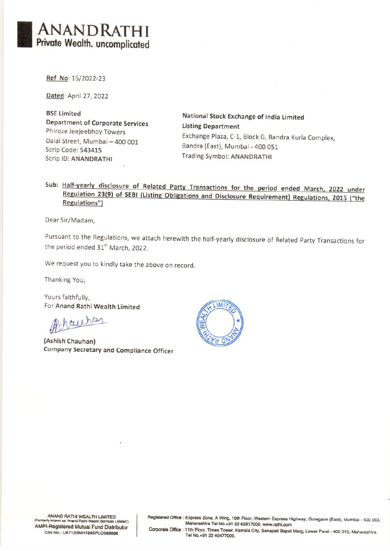

Ref No: 15/2022-23

**Dated**: April 27, 2022

BSE Limited<br>
Department of Corporate Services<br>
Listing Department<br>
Listing Department Phiroze Jeejeebhoy Towers Dalal Street, Mumbai — 400 001 Scrip Code: 543415 Scrip ID: ANANDRATHI

Exchange Plaza, C-1, Block G, Bandra Kurla Complex, Bandra (East), Mumbai - 400 051 Trading Symbol: ANANDRATHI

## Sub: Half-yearly disclosure of Related Party Transactions for the period ended March, 2022 under Regulation 23(9) of SEBI (Listing Obligations and Disclosure Requirement) Regulations, 2015 ("the Regulations")

Dear Sir/Madam,

Pursuant to the Regulations, we attach herewith the half-yearly disclosure of Related Party Transactions for the period ended 31<sup>st</sup> March, 2022.

We request you to kindly take the above on record.

Thanking You,

Yours faithfully, For Anand Rathi Wealth Limited

rachen

(Ashish Chauhan) Company Secretary and Compliance Officer



ANAND RATHI WEALTH LIMITED<br>
Formerly known as 'Anand Rathi Wealth Services Limited')<br>
Maharashtra Tel No.+91 22 62817000. www.rathi.com<br>
Maharashtra Tel No.+91 22 62817000. www.rathi.com<br>
Corporate Office : 11th Floor, Tim